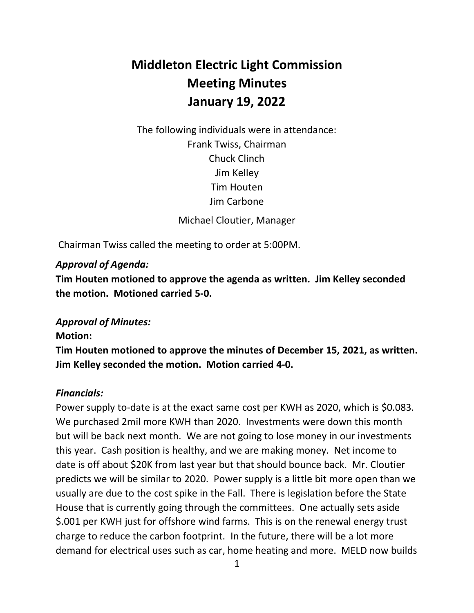# **Middleton Electric Light Commission Meeting Minutes January 19, 2022**

 The following individuals were in attendance: Michael Cloutier, Manager Frank Twiss, Chairman Chuck Clinch Jim Kelley Tim Houten Jim Carbone

Chairman Twiss called the meeting to order at 5:00PM.

## *Approval of Agenda:*

 **Tim Houten motioned to approve the agenda as written. Jim Kelley seconded the motion. Motioned carried 5-0.** 

# *Approval of Minutes:*

#### **Motion:**

 **Tim Houten motioned to approve the minutes of December 15, 2021, as written. Jim Kelley seconded the motion. Motion carried 4-0.** 

#### *Financials:*

 Power supply to-date is at the exact same cost per KWH as 2020, which is \$0.083. We purchased 2mil more KWH than 2020. Investments were down this month but will be back next month. We are not going to lose money in our investments this year. Cash position is healthy, and we are making money. Net income to date is off about \$20K from last year but that should bounce back. Mr. Cloutier predicts we will be similar to 2020. Power supply is a little bit more open than we usually are due to the cost spike in the Fall. There is legislation before the State House that is currently going through the committees. One actually sets aside \$.001 per KWH just for offshore wind farms. This is on the renewal energy trust charge to reduce the carbon footprint. In the future, there will be a lot more demand for electrical uses such as car, home heating and more. MELD now builds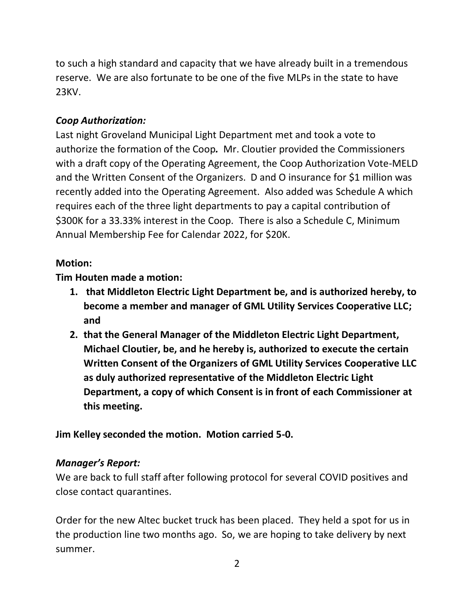to such a high standard and capacity that we have already built in a tremendous reserve. We are also fortunate to be one of the five MLPs in the state to have 23KV.

## *Coop Authorization:*

 Last night Groveland Municipal Light Department met and took a vote to authorize the formation of the Coop*.* Mr. Cloutier provided the Commissioners with a draft copy of the Operating Agreement, the Coop Authorization Vote-MELD and the Written Consent of the Organizers. D and O insurance for \$1 million was recently added into the Operating Agreement. Also added was Schedule A which requires each of the three light departments to pay a capital contribution of \$300K for a 33.33% interest in the Coop. There is also a Schedule C, Minimum Annual Membership Fee for Calendar 2022, for \$20K.

#### **Motion:**

 **Tim Houten made a motion:** 

- **1. that Middleton Electric Light Department be, and is authorized hereby, to become a member and manager of GML Utility Services Cooperative LLC; and**
- **2. that the General Manager of the Middleton Electric Light Department, Michael Cloutier, be, and he hereby is, authorized to execute the certain Written Consent of the Organizers of GML Utility Services Cooperative LLC as duly authorized representative of the Middleton Electric Light Department, a copy of which Consent is in front of each Commissioner at this meeting.**

 **Jim Kelley seconded the motion. Motion carried 5-0.** 

#### *Manager's Report:*

 We are back to full staff after following protocol for several COVID positives and close contact quarantines.

 Order for the new Altec bucket truck has been placed. They held a spot for us in the production line two months ago. So, we are hoping to take delivery by next summer.